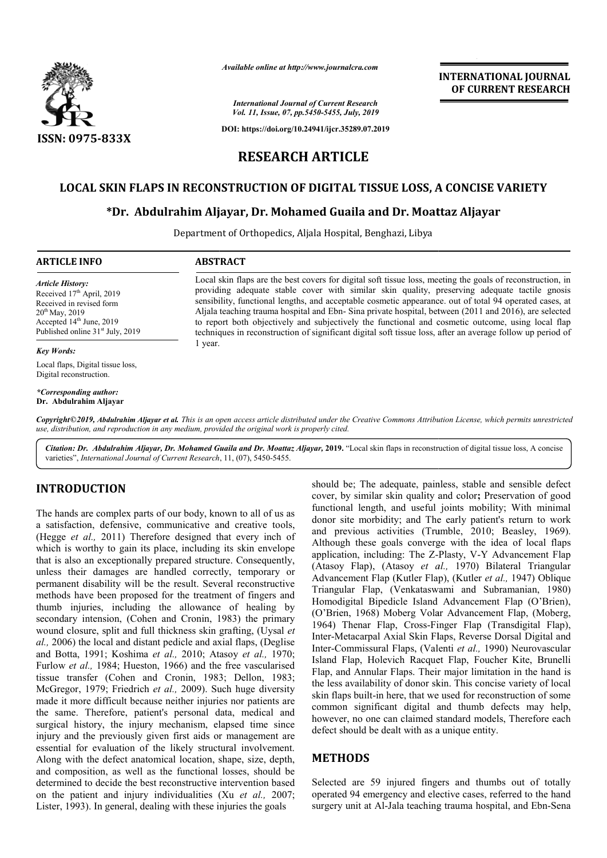

*Available online at http://www.journalcra.com*

*International Journal of Current Research Vol. 11, Issue, 07, pp.5450-5455, July, 2019*

**DOI: https://doi.org/10.24941/ijcr.35289.07.2019**

# **INTERNATIONAL JOURNAL OF CURRENT RESEARCH**

# **RESEARCH ARTICLE**

# **LOCAL SKIN FLAPS IN RECONSTRUCTION OF DIGITAL TISSUE LOSS, A A CONCISE VARIETY**

# **\*Dr. Abdulrahim Aljayar Aljayar, Dr. Mohamed Guaila and Dr. Moattaz Aljayar**

Department of Orthopedics, Aljala Hospital, Benghazi, Libya

#### **ARTICLE INFO ABSTRACT**

*Article History:* Received 17<sup>th</sup> April, 2019 Received in revised form 20th May, 2019 Accepted 14<sup>th</sup> June, 2019 Published online 31<sup>st</sup> July, 2019

*Key Words:*

Local flaps, Digital tissue loss, Digital reconstruction.

*\*Corresponding author:*  **Dr. Abdulrahim Aljayar**

Local skin flaps are the best covers for digital soft tissue loss, meeting the goals of reconstruction, in providing adequate stable cover with similar skin quality, preserving adequate tactile gnosis sensibility, functional lengths, and acceptable cosmetic appearance. out of total 94 operated cases, at Aljala teaching trauma hospital and Ebn Ebn- Sina private hospital, between (2011 and 2016), are selected to report both objectively and subjectively the functional and cosmetic outcome, using local flap techniques in reconstruction of significant digital soft tissue loss, after an average follow up period of 1 year. Local skin flaps are the best covers for digital soft tissue loss, meeting the goals of reconstruction, providing adequate stable cover with similar skin quality, preserving adequate tactile gnosensibility, functional leng

Copyright©2019, Abdulrahim Aljayar et al. This is an open access article distributed under the Creative Commons Attribution License, which permits unrestrictea *use, distribution, and reproduction in any medium, provided the original work is properly cited.*

Citation: Dr. Abdulrahim Aljayar, Dr. Mohamed Guaila and Dr. Moattaz Aljayar, 2019. "Local skin flaps in reconstruction of digital tissue loss, A concise varieties", *International Journal of Current Research* , 11, (07), 5450-5455.

# **INTRODUCTION**

The hands are complex parts of our body, known to all of us as a satisfaction, defensive, communicative and creative tools, (Hegge *et al.*, 2011) Therefore designed that every inch of which is worthy to gain its place, including its skin envelope which is worthy to gain its place, including its skin envelope that is also an exceptionally prepared structure. Consequently, unless their damages are handled correctly, temporary or permanent disability will be the result. Several reconstructive methods have been proposed for the treatment of fingers and thumb injuries, including the allowance of healing by secondary intension, (Cohen and Cronin, 1983) the primary wound closure, split and full thickness skin grafting, (Uysal *et*  al., 2006) the local and distant pedicle and axial flaps, (Deglise and Botta, 1991; Koshima *et al.,* 2010; Atasoy *et al.,* 1970; Furlow *et al.*, 1984; Hueston, 1966) and the free vascularised tissue transfer (Cohen and Cronin, 1983; Dellon, 1983; McGregor, 1979; Friedrich *et al.,* 2009). Such huge diversity made it more difficult because neither injuries nor patients are the same. Therefore, patient's personal data, medical and surgical history, the injury mechanism, elapsed time since injury and the previously given first aids or management are essential for evaluation of the likely structural involvement. Along with the defect anatomical location, shape, size, depth, and composition, as well as the functional losses, should be determined to decide the best reconstructive intervention based on the patient and injury individualities ( (Xu *et al.,* 2007; Lister, 1993). In general, dealing with these injuries the goals

should be; The adequate, painless, stable and sensible defect should be; The adequate, painless, stable and sensible defect cover, by similar skin quality and color; Preservation of good functional length, and useful joints mobility; With minimal functional length, and useful joints mobility; With minimal donor site morbidity; and The early patient's return to work and previous activities (Trumble, 2010; Beasley, 1969). Although these goals converge with the idea of local flaps application, including: The Z-Plasty, V-Y Advancement Flap (Atasoy Flap), (Atasoy *et al.,*  1970) Bilateral Triangular Advancement Flap (Kutler Flap), (Kutler et al., 1947) Oblique Triangular Flap, (Venkataswami Venkataswami and Subramanian, 1980) Homodigital Bipedicle Island Advancement Flap (O'Brien), Homodigital Bipedicle Island Advancement Flap (O'Brien),<br>(O'Brien, 1968) Moberg Volar Advancement Flap, (Moberg, 1964) Thenar Flap, Cross-Finger Flap (Transdigital Flap), Inter-Metacarpal Axial Skin Flaps, Reverse Dorsal Digital and Inter-Commissural Flaps, (Valenti et al., 1990) Neurovascular Island Flap, Holevich Racquet Flap, Foucher Kite, Brunelli Flap, and Annular Flaps. Their major limitation in the hand is the less availability of donor skin. skin flaps built-in here, that we used for reconstruction of some common significant digital and thumb defects may help, however, no one can claimed standard models, Therefore each defect should be dealt with as a unique entity. Filaper (Transdigital Flaper), Metacarpal Axial Skin Flaps, Reverse Dorsal Digital and Commissural Flaps, (Valenti *et al.*, 1990) Neurovascular nd Flap, Holevich Racquet Flap, Foucher Kite, Brunelli<br>
2, and Annular Flaps. Their major limitation in the hand is<br>
less availability of donor skin. This concise variety of local common significant digital and thumb defects may help,<br>however, no one can claimed standard models, Therefore each<br>defect should be dealt with as a unique entity.<br>**METHODS**<br>Selected are 59 injured fingers and thumbs out of

# **METHODS**

Selected are 59 injured fingers and thumbs out of totally operated 94 emergency and elective cases, referred to the hand surgery unit at Al-Jala teaching trauma hospital, and Ebn-Sena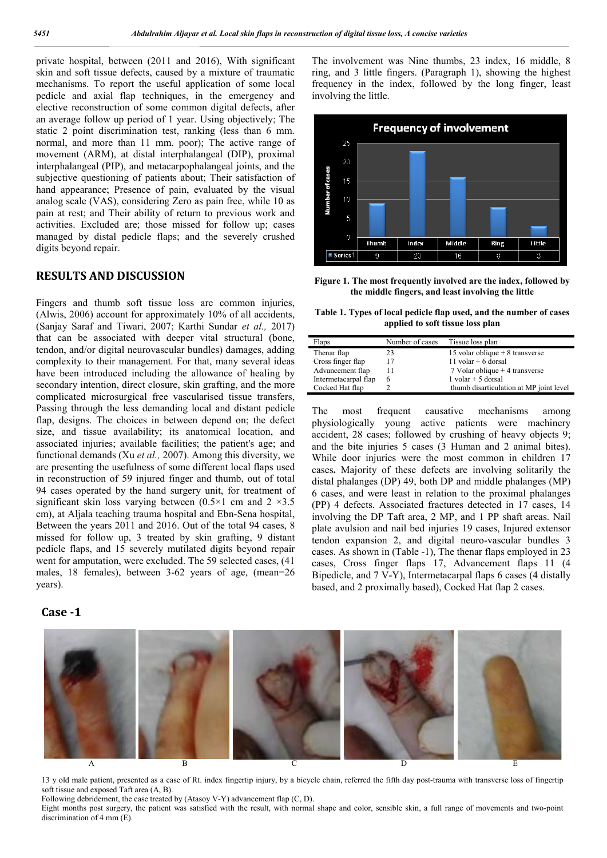private hospital, between (2011 and 2016), With significant skin and soft tissue defects, caused by a mixture of traumatic mechanisms. To report the useful application of some local pedicle and axial flap techniques, in the emergency and elective reconstruction of some common digital defects, after an average follow up period of 1 year. Using objectively; The static 2 point discrimination test, ranking (less than 6 mm. normal, and more than 11 mm. poor); The active range of movement (ARM), at distal interphalangeal (DIP), proximal interphalangeal (PIP), and metacarpophalangeal joints, and the subjective questioning of patients about; Their satisfaction of hand appearance; Presence of pain, evaluated by the visual analog scale (VAS), considering Zero as pain free, while 10 as pain at rest; and Their ability of return to previous work and activities. Excluded are; those missed for follow up; cases managed by distal pedicle flaps; and the severely crushed digits beyond repair.

## **RESULTS AND DISCUSSION**

Fingers and thumb soft tissue loss are common injuries, (Alwis, 2006) account for approximately 10% of all accidents, (Sanjay Saraf and Tiwari, 2007; Karthi Sundar *et al.,* 2017) that can be associated with deeper vital structural (bone, tendon, and/or digital neurovascular bundles) damages, adding complexity to their management. For that, many several ideas have been introduced including the allowance of healing by secondary intention, direct closure, skin grafting, and the more complicated microsurgical free vascularised tissue transfers, Passing through the less demanding local and distant pedicle flap, designs. The choices in between depend on; the defect size, and tissue availability; its anatomical location, and associated injuries; available facilities; the patient's age; and functional demands (Xu *et al.,* 2007). Among this diversity, we are presenting the usefulness of some different local flaps used in reconstruction of 59 injured finger and thumb, out of total 94 cases operated by the hand surgery unit, for treatment of significant skin loss varying between (0.5×1 cm and 2 ×3.5 cm), at Aljala teaching trauma hospital and Ebn-Sena hospital, Between the years 2011 and 2016. Out of the total 94 cases, 8 missed for follow up, 3 treated by skin grafting, 9 distant pedicle flaps, and 15 severely mutilated digits beyond repair went for amputation, were excluded. The 59 selected cases, (41 males, 18 females), between 3-62 years of age, (mean=26 years).

## **Case -1**

The involvement was Nine thumbs, 23 index, 16 middle, 8 ring, and 3 little fingers. (Paragraph 1), showing the highest frequency in the index, followed by the long finger, least involving the little.



**Figure 1. The most frequently involved are the index, followed by the middle fingers, and least involving the little**

**Table 1. Types of local pedicle flap used, and the number of cases applied to soft tissue loss plan**

| Flaps                | Number of cases | Tissue loss plan                        |
|----------------------|-----------------|-----------------------------------------|
| Thenar flap          | 23              | 15 volar oblique $+8$ transverse        |
| Cross finger flap    |                 | $11$ volar + 6 dorsal                   |
| Advancement flap     |                 | 7 Volar oblique + 4 transverse          |
| Intermetacarpal flap | 6               | $1$ volar $+$ 5 dorsal                  |
| Cocked Hat flap      |                 | thumb disarticulation at MP joint level |

The most frequent causative mechanisms among physiologically young active patients were machinery accident, 28 cases; followed by crushing of heavy objects 9; and the bite injuries 5 cases (3 Human and 2 animal bites). While door injuries were the most common in children 17 cases**.** Majority of these defects are involving solitarily the distal phalanges (DP) 49, both DP and middle phalanges (MP) 6 cases, and were least in relation to the proximal phalanges (PP) 4 defects. Associated fractures detected in 17 cases, 14 involving the DP Taft area, 2 MP, and 1 PP shaft areas. Nail plate avulsion and nail bed injuries 19 cases, Injured extensor tendon expansion 2, and digital neuro-vascular bundles 3 cases. As shown in (Table -1), The thenar flaps employed in 23 cases, Cross finger flaps 17, Advancement flaps 11 (4 Bipedicle, and 7 V-Y), Intermetacarpal flaps 6 cases (4 distally based, and 2 proximally based), Cocked Hat flap 2 cases.



13 y old male patient, presented as a case of Rt. index fingertip injury, by a bicycle chain, referred the fifth day post-trauma with transverse loss of fingertip soft tissue and exposed Taft area (A, B).

Following debridement, the case treated by (Atasoy V-Y) advancement flap (C, D).

Eight months post surgery, the patient was satisfied with the result, with normal shape and color, sensible skin, a full range of movements and two-point discrimination of 4 mm (E).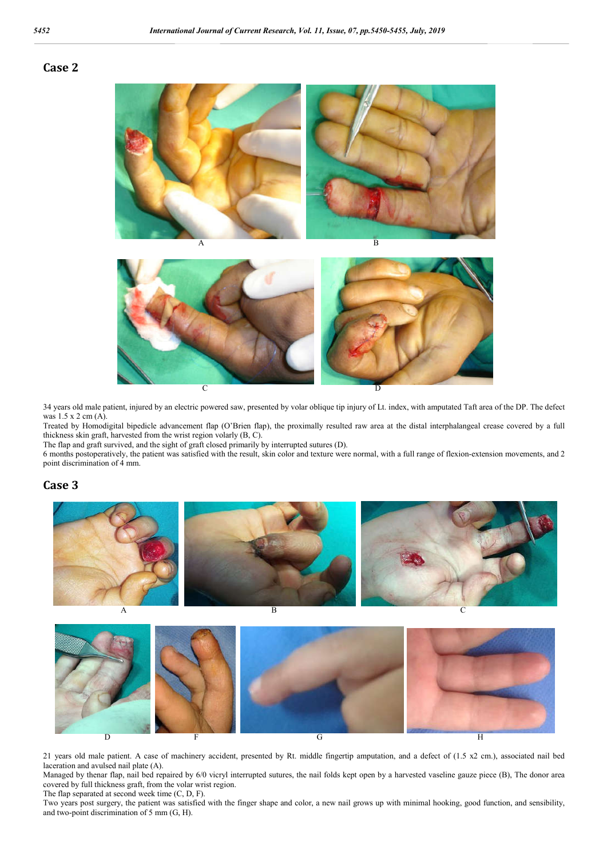#### **Case 2**





34 years old male patient, injured by an electric powered saw, presented by volar oblique tip injury of Lt. index, with amputated Taft area of the DP. The defect was 1.5 x 2 cm (A).

Treated by Homodigital bipedicle advancement flap (O'Brien flap), the proximally resulted raw area at the distal interphalangeal crease covered by a full thickness skin graft, harvested from the wrist region volarly (B, C).

The flap and graft survived, and the sight of graft closed primarily by interrupted sutures (D).

6 months postoperatively, the patient was satisfied with the result, skin color and texture were normal, with a full range of flexion-extension movements, and 2 point discrimination of 4 mm.

#### **Case 3**



 $D$  F G H

21 years old male patient. A case of machinery accident, presented by Rt. middle fingertip amputation, and a defect of (1.5 x2 cm.), associated nail bed laceration and avulsed nail plate (A).

Managed by thenar flap, nail bed repaired by 6/0 vicryl interrupted sutures, the nail folds kept open by a harvested vaseline gauze piece (B), The donor area covered by full thickness graft, from the volar wrist region. The flap separated at second week time (C, D, F).

Two years post surgery, the patient was satisfied with the finger shape and color, a new nail grows up with minimal hooking, good function, and sensibility, and two-point discrimination of 5 mm (G, H).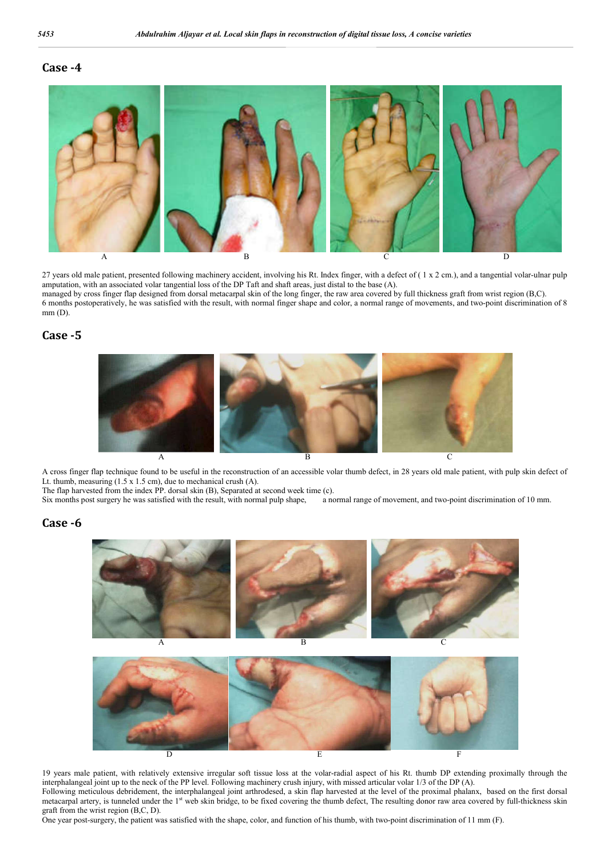### **Case -4**



27 years old male patient, presented following machinery accident, involving his Rt. Index finger, with a defect of (1 x 2 cm.), and a tangential volar-ulnar pulp amputation, with an associated volar tangential loss of the DP Taft and shaft areas, just distal to the base (A). managed by cross finger flap designed from dorsal metacarpal skin of the long finger, the raw area covered by full thickness graft from wrist region (B,C). 6 months postoperatively, he was satisfied with the result, with normal finger shape and color, a normal range of movements, and two-point discrimination of 8  $mm$  (D).

#### **Case -5**



A cross finger flap technique found to be useful in the reconstruction of an accessible volar thumb defect, in 28 years old male patient, with pulp skin defect of Lt. thumb, measuring (1.5 x 1.5 cm), due to mechanical crush (A).

The flap harvested from the index PP. dorsal skin (B), Separated at second week time (c).<br>Six months post surgery he was satisfied with the result, with normal pulp shape, a normal range of movement, and two-point discrimi Six months post surgery he was satisfied with the result, with normal pulp shape,

#### **Case -6**



19 years male patient, with relatively extensive irregular soft tissue loss at the volar-radial aspect of his Rt. thumb DP extending proximally through the interphalangeal joint up to the neck of the PP level. Following machinery crush injury, with missed articular volar 1/3 of the DP (A). Following meticulous debridement, the interphalangeal joint arthrodesed, a skin flap harvested at the level of the proximal phalanx, based on the first dorsal metacarpal artery, is tunneled under the 1<sup>st</sup> web skin bridge, to be fixed covering the thumb defect, The resulting donor raw area covered by full-thickness skin graft from the wrist region (B,C, D).

One year post-surgery, the patient was satisfied with the shape, color, and function of his thumb, with two-point discrimination of 11 mm (F).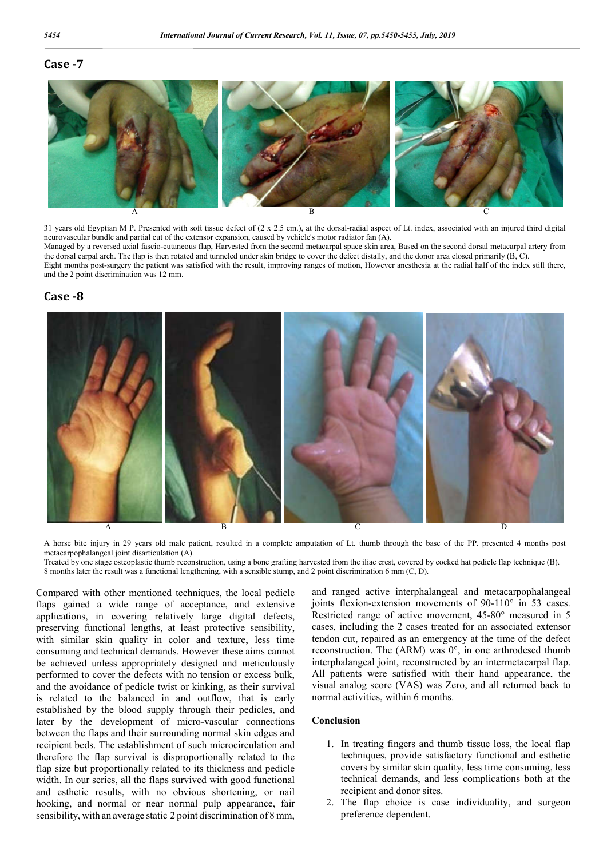# **Case -7**



31 years old Egyptian M P. Presented with soft tissue defect of (2 x 2.5 cm.), at the dorsal-radial aspect of Lt. index, associated with an injured third digital neurovascular bundle and partial cut of the extensor expansion, caused by vehicle's motor radiator fan (A).

Managed by a reversed axial fascio-cutaneous flap, Harvested from the second metacarpal space skin area, Based on the second dorsal metacarpal artery from the dorsal carpal arch. The flap is then rotated and tunneled under skin bridge to cover the defect distally, and the donor area closed primarily (B, C). Eight months post-surgery the patient was satisfied with the result, improving ranges of motion, However anesthesia at the radial half of the index still there,

and the 2 point discrimination was 12 mm.

#### **Case -8**



A horse bite injury in 29 years old male patient, resulted in a complete amputation of Lt. thumb through the base of the PP. presented 4 months post metacarpophalangeal joint disarticulation (A).

Treated by one stage osteoplastic thumb reconstruction, using a bone grafting harvested from the iliac crest, covered by cocked hat pedicle flap technique (B). 8 months later the result was a functional lengthening, with a sensible stump, and 2 point discrimination 6 mm (C, D).

Compared with other mentioned techniques, the local pedicle flaps gained a wide range of acceptance, and extensive applications, in covering relatively large digital defects, preserving functional lengths, at least protective sensibility, with similar skin quality in color and texture, less time consuming and technical demands. However these aims cannot be achieved unless appropriately designed and meticulously performed to cover the defects with no tension or excess bulk, and the avoidance of pedicle twist or kinking, as their survival is related to the balanced in and outflow, that is early established by the blood supply through their pedicles, and later by the development of micro-vascular connections between the flaps and their surrounding normal skin edges and recipient beds. The establishment of such microcirculation and therefore the flap survival is disproportionally related to the flap size but proportionally related to its thickness and pedicle width. In our series, all the flaps survived with good functional and esthetic results, with no obvious shortening, or nail hooking, and normal or near normal pulp appearance, fair sensibility, with an average static 2 point discrimination of 8 mm,

and ranged active interphalangeal and metacarpophalangeal joints flexion-extension movements of 90-110° in 53 cases. Restricted range of active movement, 45-80° measured in 5 cases, including the 2 cases treated for an associated extensor tendon cut, repaired as an emergency at the time of the defect reconstruction. The (ARM) was 0°, in one arthrodesed thumb interphalangeal joint, reconstructed by an intermetacarpal flap. All patients were satisfied with their hand appearance, the visual analog score (VAS) was Zero, and all returned back to normal activities, within 6 months.

#### **Conclusion**

- 1. In treating fingers and thumb tissue loss, the local flap techniques, provide satisfactory functional and esthetic covers by similar skin quality, less time consuming, less technical demands, and less complications both at the recipient and donor sites.
- 2. The flap choice is case individuality, and surgeon preference dependent.